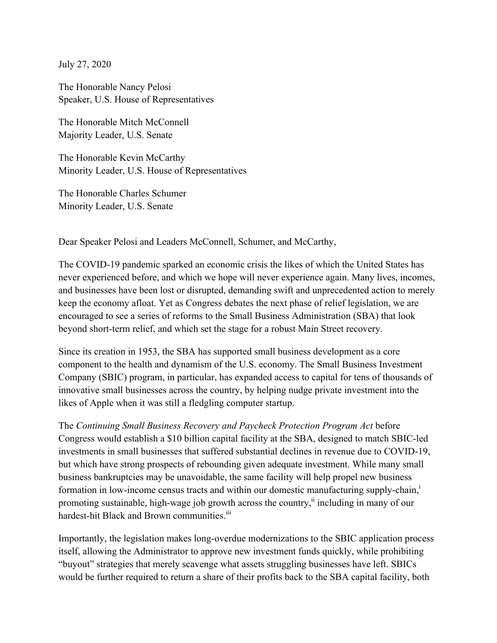July 27, 2020

The Honorable Nancy Pelosi Speaker, U.S. House of Representatives

The Honorable Mitch McConnell Majority Leader, U.S. Senate

The Honorable Kevin McCarthy Minority Leader, U.S. House of Representatives

The Honorable Charles Schumer Minority Leader, U.S. Senate

Dear Speaker Pelosi and Leaders McConnell, Schumer, and McCarthy,

The COVID-19 pandemic sparked an economic crisis the likes of which the United States has never experienced before, and which we hope will never experience again. Many lives, incomes, and businesses have been lost or disrupted, demanding swift and unprecedented action to merely keep the economy afloat. Yet as Congress debates the next phase of relief legislation, we are encouraged to see a series of reforms to the Small Business Administration (SBA) that look beyond short-term relief, and which set the stage for a robust Main Street recovery.

Since its creation in 1953, the SBA has supported small business development as a core component to the health and dynamism of the U.S. economy. The Small Business Investment Company (SBIC) program, in particular, has expanded access to capital for tens of thousands of innovative small businesses across the country, by helping nudge private investment into the likes of Apple when it was still a fledgling computer startup.

The *Continuing Small Business Recovery and Paycheck Protection Program Act* before Congress would establish a \$10 billion capital facility at the SBA, designed to match SBIC-led investments in small businesses that suffered substantial declines in revenue due to COVID-19, but which have strong prospects of rebounding given adequate investment. While many small business bankruptcies may be unavoidable, the same facility will help propel new business formation in low-income census tracts and within our domestic manufacturing supply-chain,<sup>i</sup> promoting sustainable, high-wage job growth across the country,<sup>ii</sup> including in many of our hardest-hit Black and Brown communities.<sup>iii</sup>

Importantly, the legislation makes long-overdue modernizations to the SBIC application process itself, allowing the Administrator to approve new investment funds quickly, while prohibiting "buyout" strategies that merely scavenge what assets struggling businesses have left. SBICs would be further required to return a share of their profits back to the SBA capital facility, both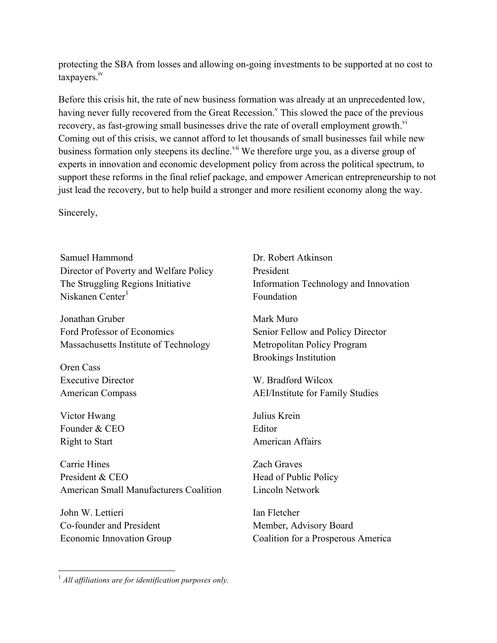protecting the SBA from losses and allowing on-going investments to be supported at no cost to taxpayers.<sup>iv</sup>

Before this crisis hit, the rate of new business formation was already at an unprecedented low, having never fully recovered from the Great Recession.<sup> $\theta$ </sup> This slowed the pace of the previous recovery, as fast-growing small businesses drive the rate of overall employment growth.<sup>vi</sup> Coming out of this crisis, we cannot afford to let thousands of small businesses fail while new business formation only steepens its decline.<sup>vii</sup> We therefore urge you, as a diverse group of experts in innovation and economic development policy from across the political spectrum, to support these reforms in the final relief package, and empower American entrepreneurship to not just lead the recovery, but to help build a stronger and more resilient economy along the way.

Sincerely,

Samuel Hammond Director of Poverty and Welfare Policy The Struggling Regions Initiative Niskanen Center<sup>1</sup>

Jonathan Gruber Ford Professor of Economics Massachusetts Institute of Technology

Oren Cass Executive Director American Compass

Victor Hwang Founder & CEO Right to Start

Carrie Hines President & CEO American Small Manufacturers Coalition

John W. Lettieri Co-founder and President Economic Innovation Group Dr. Robert Atkinson President Information Technology and Innovation Foundation

Mark Muro Senior Fellow and Policy Director Metropolitan Policy Program Brookings Institution

W. Bradford Wilcox AEI/Institute for Family Studies

Julius Krein Editor American Affairs

Zach Graves Head of Public Policy Lincoln Network

Ian Fletcher Member, Advisory Board Coalition for a Prosperous America

<sup>&</sup>lt;sup>1</sup> *All affiliations are for identification purposes only.*